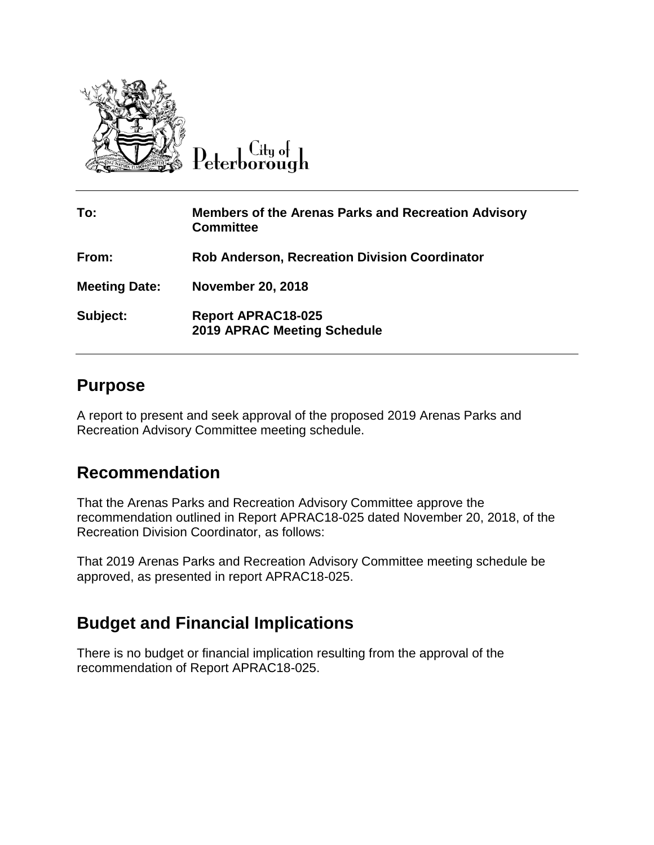

Peterborough

| To:                  | <b>Members of the Arenas Parks and Recreation Advisory</b><br><b>Committee</b> |
|----------------------|--------------------------------------------------------------------------------|
| From:                | <b>Rob Anderson, Recreation Division Coordinator</b>                           |
| <b>Meeting Date:</b> | <b>November 20, 2018</b>                                                       |
| Subject:             | <b>Report APRAC18-025</b><br><b>2019 APRAC Meeting Schedule</b>                |

## **Purpose**

A report to present and seek approval of the proposed 2019 Arenas Parks and Recreation Advisory Committee meeting schedule.

## **Recommendation**

That the Arenas Parks and Recreation Advisory Committee approve the recommendation outlined in Report APRAC18-025 dated November 20, 2018, of the Recreation Division Coordinator, as follows:

That 2019 Arenas Parks and Recreation Advisory Committee meeting schedule be approved, as presented in report APRAC18-025.

## **Budget and Financial Implications**

There is no budget or financial implication resulting from the approval of the recommendation of Report APRAC18-025.